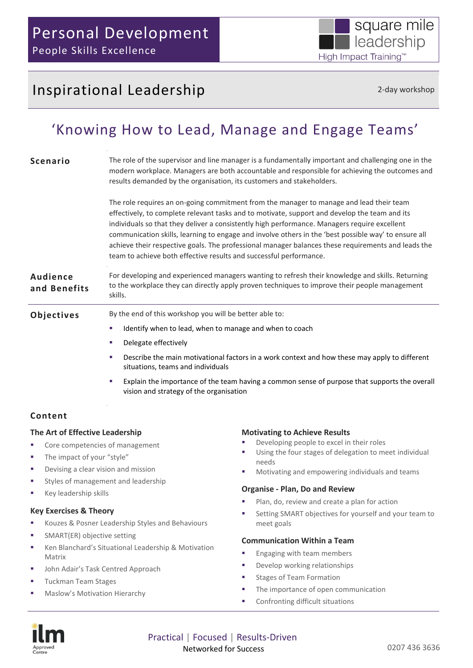# Inspirational Leadership 2-day workshop

square mile

leadership

High Impact Training™

## 'Knowing How to Lead, Manage and Engage Teams'

| <b>Scenario</b>                 | The role of the supervisor and line manager is a fundamentally important and challenging one in the<br>modern workplace. Managers are both accountable and responsible for achieving the outcomes and<br>results demanded by the organisation, its customers and stakeholders.                                                                                                                                                                                                                                                                                               |
|---------------------------------|------------------------------------------------------------------------------------------------------------------------------------------------------------------------------------------------------------------------------------------------------------------------------------------------------------------------------------------------------------------------------------------------------------------------------------------------------------------------------------------------------------------------------------------------------------------------------|
|                                 | The role requires an on-going commitment from the manager to manage and lead their team<br>effectively, to complete relevant tasks and to motivate, support and develop the team and its<br>individuals so that they deliver a consistently high performance. Managers require excellent<br>communication skills, learning to engage and involve others in the 'best possible way' to ensure all<br>achieve their respective goals. The professional manager balances these requirements and leads the<br>team to achieve both effective results and successful performance. |
| <b>Audience</b><br>and Benefits | For developing and experienced managers wanting to refresh their knowledge and skills. Returning<br>to the workplace they can directly apply proven techniques to improve their people management<br>skills.                                                                                                                                                                                                                                                                                                                                                                 |
| Objectives                      | By the end of this workshop you will be better able to:                                                                                                                                                                                                                                                                                                                                                                                                                                                                                                                      |
|                                 | Identify when to lead, when to manage and when to coach<br>a.                                                                                                                                                                                                                                                                                                                                                                                                                                                                                                                |
|                                 | Delegate effectively                                                                                                                                                                                                                                                                                                                                                                                                                                                                                                                                                         |
|                                 | Describe the main motivational factors in a work context and how these may apply to different<br>situations, teams and individuals                                                                                                                                                                                                                                                                                                                                                                                                                                           |
|                                 | Explain the importance of the team having a common sense of purpose that supports the overall<br>vision and strategy of the organisation                                                                                                                                                                                                                                                                                                                                                                                                                                     |
|                                 |                                                                                                                                                                                                                                                                                                                                                                                                                                                                                                                                                                              |

### **Content**

#### **The Art of Effective Leadership**

- Core competencies of management
- The impact of your "style"
- Devising a clear vision and mission
- Styles of management and leadership
- Key leadership skills

#### **Key Exercises & Theory**

- Kouzes & Posner Leadership Styles and Behaviours
- SMART(ER) objective setting
- Ken Blanchard's Situational Leadership & Motivation Matrix
- John Adair's Task Centred Approach
- Tuckman Team Stages
- Maslow's Motivation Hierarchy

#### **Motivating to Achieve Results**

- Developing people to excel in their roles
- Using the four stages of delegation to meet individual needs
- Motivating and empowering individuals and teams

#### **Organise - Plan, Do and Review**

- Plan, do, review and create a plan for action
- Setting SMART objectives for yourself and your team to meet goals

#### **Communication Within a Team**

- Engaging with team members
- **Develop working relationships**
- Stages of Team Formation
- The importance of open communication
- Confronting difficult situations



Practical | Focused | Results-Driven Networked for Success